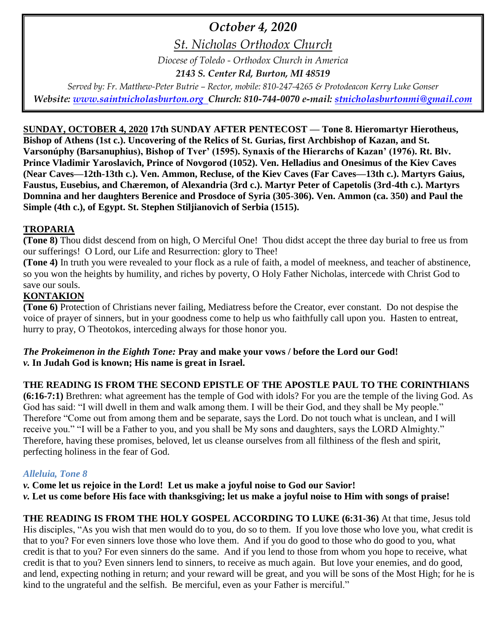# *October 4, 2020*

*St. Nicholas Orthodox Church*

*Diocese of Toledo - Orthodox Church in America*

*2143 S. Center Rd, Burton, MI 48519*

*Served by: Fr. Matthew-Peter Butrie – Rector, mobile: 810-247-4265 & Protodeacon Kerry Luke Gonser Website: [www.saintnicholasburton.org](http://www.saintnicholasburton.org/) Church: 810-744-0070 e-mail: [stnicholasburtonmi@gmail.com](mailto:stnicholasburtonmi@gmail.com)*

## **SUNDAY, OCTOBER 4, 2020 17th SUNDAY AFTER PENTECOST — Tone 8. Hieromartyr Hierotheus,**

**Bishop of Athens (1st c.). Uncovering of the Relics of St. Gurias, first Archbishop of Kazan, and St. Varsonúphy (Barsanuphius), Bishop of Tver' (1595). Synaxis of the Hierarchs of Kazan' (1976). Rt. Blv. Prince Vladimir Yaroslavich, Prince of Novgorod (1052). Ven. Helladius and Onesimus of the Kiev Caves (Near Caves—12th-13th c.). Ven. Ammon, Recluse, of the Kiev Caves (Far Caves—13th c.). Martyrs Gaius, Faustus, Eusebius, and Chæremon, of Alexandria (3rd c.). Martyr Peter of Capetolis (3rd-4th c.). Martyrs Domnina and her daughters Berenice and Prosdoce of Syria (305-306). Ven. Ammon (ca. 350) and Paul the Simple (4th c.), of Egypt. St. Stephen Stiljianovich of Serbia (1515).**

## **TROPARIA**

**(Tone 8)** Thou didst descend from on high, O Merciful One! Thou didst accept the three day burial to free us from our sufferings! O Lord, our Life and Resurrection: glory to Thee!

**(Tone 4)** In truth you were revealed to your flock as a rule of faith, a model of meekness, and teacher of abstinence, so you won the heights by humility, and riches by poverty, O Holy Father Nicholas, intercede with Christ God to save our souls.

# **KONTAKION**

**(Tone 6)** Protection of Christians never failing, Mediatress before the Creator, ever constant. Do not despise the voice of prayer of sinners, but in your goodness come to help us who faithfully call upon you. Hasten to entreat, hurry to pray, O Theotokos, interceding always for those honor you.

#### *The Prokeimenon in the Eighth Tone:* **Pray and make your vows / before the Lord our God!** *v.* **In Judah God is known; His name is great in Israel.**

# **THE READING IS FROM THE SECOND EPISTLE OF THE APOSTLE PAUL TO THE CORINTHIANS**

**(6:16-7:1)** Brethren: what agreement has the temple of God with idols? For you are the temple of the living God. As God has said: "I will dwell in them and walk among them. I will be their God, and they shall be My people." Therefore "Come out from among them and be separate, says the Lord. Do not touch what is unclean, and I will receive you." "I will be a Father to you, and you shall be My sons and daughters, says the LORD Almighty." Therefore, having these promises, beloved, let us cleanse ourselves from all filthiness of the flesh and spirit, perfecting holiness in the fear of God.

## *Alleluia, Tone 8*

*v.* **Come let us rejoice in the Lord! Let us make a joyful noise to God our Savior!** *v.* **Let us come before His face with thanksgiving; let us make a joyful noise to Him with songs of praise!**

**THE READING IS FROM THE HOLY GOSPEL ACCORDING TO LUKE (6:31-36)** At that time, Jesus told His disciples, "As you wish that men would do to you, do so to them. If you love those who love you, what credit is that to you? For even sinners love those who love them. And if you do good to those who do good to you, what credit is that to you? For even sinners do the same. And if you lend to those from whom you hope to receive, what credit is that to you? Even sinners lend to sinners, to receive as much again. But love your enemies, and do good, and lend, expecting nothing in return; and your reward will be great, and you will be sons of the Most High; for he is kind to the ungrateful and the selfish. Be merciful, even as your Father is merciful."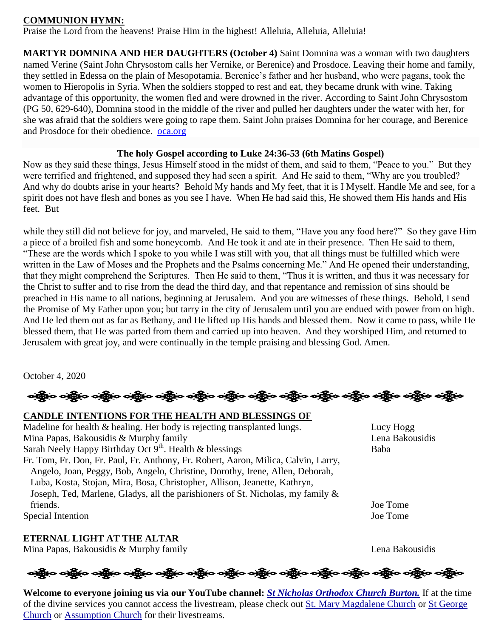#### **COMMUNION HYMN:**

Praise the Lord from the heavens! Praise Him in the highest! Alleluia, Alleluia, Alleluia!

**MARTYR DOMNINA AND HER DAUGHTERS (October 4)** Saint Domnina was a woman with two daughters named Verine (Saint John Chrysostom calls her Vernike, or Berenice) and Prosdoce. Leaving their home and family, they settled in Edessa on the plain of Mesopotamia. Berenice's father and her husband, who were pagans, took the women to Hieropolis in Syria. When the soldiers stopped to rest and eat, they became drunk with wine. Taking advantage of this opportunity, the women fled and were drowned in the river. According to Saint John Chrysostom (PG 50, 629-640), Domnina stood in the middle of the river and pulled her daughters under the water with her, for she was afraid that the soldiers were going to rape them. Saint John praises Domnina for her courage, and Berenice and Prosdoce for their obedience. [oca.org](https://www.oca.org/saints/lives/2020/10/04/102862-martyr-domnina-with-her-daughters-of-syria)

#### **The holy Gospel according to Luke 24:36-53 (6th Matins Gospel)**

Now as they said these things, Jesus Himself stood in the midst of them, and said to them, "Peace to you." But they were terrified and frightened, and supposed they had seen a spirit. And He said to them, "Why are you troubled? And why do doubts arise in your hearts? Behold My hands and My feet, that it is I Myself. Handle Me and see, for a spirit does not have flesh and bones as you see I have. When He had said this, He showed them His hands and His feet. But

while they still did not believe for joy, and marveled, He said to them, "Have you any food here?" So they gave Him a piece of a broiled fish and some honeycomb. And He took it and ate in their presence. Then He said to them, "These are the words which I spoke to you while I was still with you, that all things must be fulfilled which were written in the Law of Moses and the Prophets and the Psalms concerning Me." And He opened their understanding, that they might comprehend the Scriptures. Then He said to them, "Thus it is written, and thus it was necessary for the Christ to suffer and to rise from the dead the third day, and that repentance and remission of sins should be preached in His name to all nations, beginning at Jerusalem. And you are witnesses of these things. Behold, I send the Promise of My Father upon you; but tarry in the city of Jerusalem until you are endued with power from on high. And He led them out as far as Bethany, and He lifted up His hands and blessed them. Now it came to pass, while He blessed them, that He was parted from them and carried up into heaven. And they worshiped Him, and returned to Jerusalem with great joy, and were continually in the temple praising and blessing God. Amen.

October 4, 2020

ခရွို့လ ခရွို့လ ခရွို့လ ခရွို့လ ခရွို့လ ခရွို့လ ခရွို့လ ခရွို့လ ခရွို့လ ခရွို့လ ခရွို့လ ခရွို့လ ခရွို့လ ခရွို့လ

**CANDLE INTENTIONS FOR THE HEALTH AND BLESSINGS OF**  Madeline for health  $\&$  healing. Her body is rejecting transplanted lungs. Lucy Hogg Mina Papas, Bakousidis & Murphy family Lena Bakousidis Sarah Neely Happy Birthday Oct 9<sup>th</sup>. Health & blessings Baba Fr. Tom, Fr. Don, Fr. Paul, Fr. Anthony, Fr. Robert, Aaron, Milica, Calvin, Larry, Angelo, Joan, Peggy, Bob, Angelo, Christine, Dorothy, Irene, Allen, Deborah, Luba, Kosta, Stojan, Mira, Bosa, Christopher, Allison, Jeanette, Kathryn, Joseph, Ted, Marlene, Gladys, all the parishioners of St. Nicholas, my family & friends. Joe Tome Special Intention Joe Tome

## **ETERNAL LIGHT AT THE ALTAR**

Mina Papas, Bakousidis & Murphy family Lena Bakousidis

# ခရွို့က ခရွိက သန္တို့က ခရွိက သန္တို့က သန္တို့က သန္တို့က သန္တို့က သန္တိုက သန္တိုက သန္တိုက သန္တိုက သန္တိုက

**Welcome to everyone joining us via our YouTube channel:** *[St Nicholas Orthodox Church Burton.](https://www.youtube.com/channel/UC59tV-Re443z-GCoETAUvfA)* If at the time of the divine services you cannot access the livestream, please check out [St. Mary Magdalene Church](https://www.youtube.com/channel/UClHAqZrWkXdYELujbbIslHg) or [St George](https://www.youtube.com/channel/UCpLWfxMIJK4uQOV41ekE6Wg/videos?view=2&flow=grid)  [Church](https://www.youtube.com/channel/UCpLWfxMIJK4uQOV41ekE6Wg/videos?view=2&flow=grid) or [Assumption Church](https://www.facebook.com/AssumptionGrandBlanc/) for their livestreams.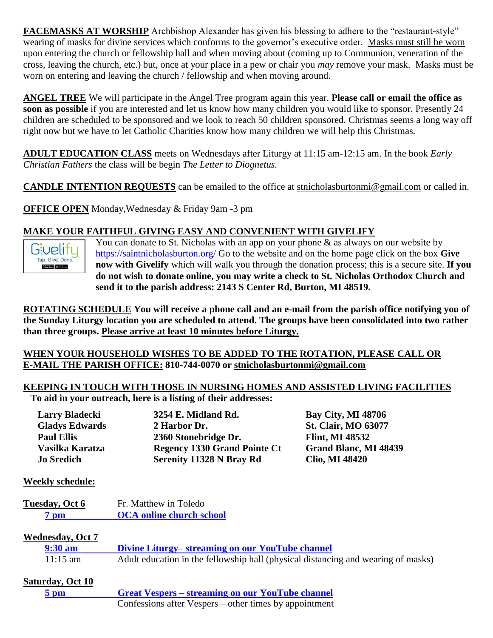**FACEMASKS AT WORSHIP** Archbishop Alexander has given his blessing to adhere to the "restaurant-style" wearing of masks for divine services which conforms to the governor's executive order. Masks must still be worn upon entering the church or fellowship hall and when moving about (coming up to Communion, veneration of the cross, leaving the church, etc.) but, once at your place in a pew or chair you *may* remove your mask. Masks must be worn on entering and leaving the church / fellowship and when moving around.

**ANGEL TREE** We will participate in the Angel Tree program again this year. **Please call or email the office as soon as possible** if you are interested and let us know how many children you would like to sponsor. Presently 24 children are scheduled to be sponsored and we look to reach 50 children sponsored. Christmas seems a long way off right now but we have to let Catholic Charities know how many children we will help this Christmas.

**ADULT EDUCATION CLASS** meets on Wednesdays after Liturgy at 11:15 am-12:15 am. In the book *Early Christian Fathers* the class will be begin *The Letter to Diognetus.*

**CANDLE INTENTION REQUESTS** can be emailed to the office at [stnicholasburtonmi@gmail.com](mailto:stnicholasburtonmi@gmail.com) or called in.

**OFFICE OPEN** Monday,Wednesday & Friday 9am -3 pm

#### **MAKE YOUR FAITHFUL GIVING EASY AND CONVENIENT WITH GIVELIFY**



You can donate to St. Nicholas with an app on your phone  $\&$  as always on our website by <https://saintnicholasburton.org/> Go to the website and on the home page click on the box **Give now with Givelify** which will walk you through the donation process; this is a secure site. **If you do not wish to donate online, you may write a check to St. Nicholas Orthodox Church and send it to the parish address: 2143 S Center Rd, Burton, MI 48519.**

**ROTATING SCHEDULE You will receive a phone call and an e-mail from the parish office notifying you of the Sunday Liturgy location you are scheduled to attend. The groups have been consolidated into two rather than three groups. Please arrive at least 10 minutes before Liturgy.**

#### **WHEN YOUR HOUSEHOLD WISHES TO BE ADDED TO THE ROTATION, PLEASE CALL OR E-MAIL THE PARISH OFFICE: 810-744-0070 or [stnicholasburtonmi@gmail.com](mailto:stnicholasburtonmi@gmail.com)**

# **KEEPING IN TOUCH WITH THOSE IN NURSING HOMES AND ASSISTED LIVING FACILITIES**

**To aid in your outreach, here is a listing of their addresses:**

| 3254 E. Midland Rd.                 | <b>Bay City, MI 48706</b>    |
|-------------------------------------|------------------------------|
| 2 Harbor Dr.                        | <b>St. Clair, MO 63077</b>   |
| 2360 Stonebridge Dr.                | <b>Flint, MI 48532</b>       |
| <b>Regency 1330 Grand Pointe Ct</b> | <b>Grand Blanc, MI 48439</b> |
| Serenity 11328 N Bray Rd            | <b>Clio, MI 48420</b>        |
|                                     |                              |

#### **Weekly schedule:**

**Tuesday, Oct 6** Fr. Matthew in Toledo **7 pm [OCA online church school](https://www.oca.org/ocs)**

#### **Wednesday, Oct 7**

| $9:30 \text{ am}$  | Divine Liturgy– streaming on our YouTube channel                                  |
|--------------------|-----------------------------------------------------------------------------------|
| $11:15 \text{ am}$ | Adult education in the fellowship hall (physical distancing and wearing of masks) |

| Saturday, Oct 10 |                                                         |
|------------------|---------------------------------------------------------|
| $5 \text{ pm}$   | <b>Great Vespers – streaming on our YouTube channel</b> |
|                  | Confessions after Vespers – other times by appointment  |